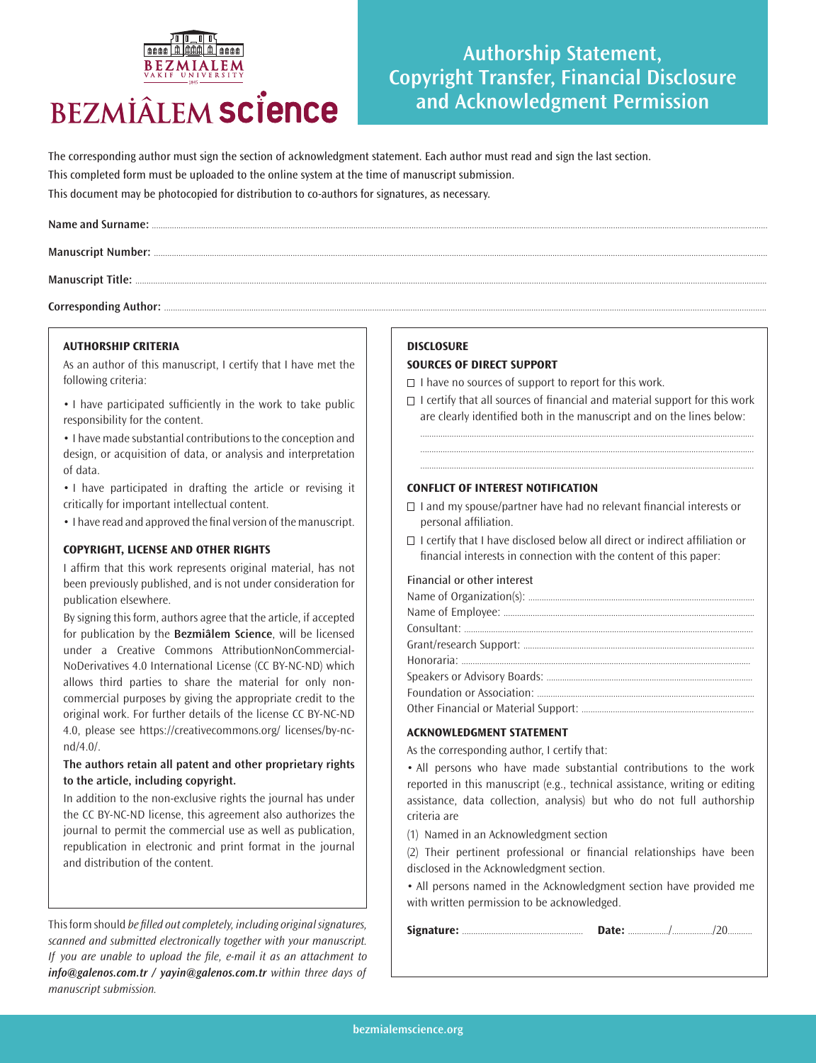# **BEZMIÂLEM SCIENCE**

## **Authorship Statement, Copyright Transfer, Financial Disclosure and Acknowledgment Permission**

The corresponding author must sign the section of acknowledgment statement. Each author must read and sign the last section. This completed form must be uploaded to the online system at the time of manuscript submission. This document may be photocopied for distribution to co-authors for signatures, as necessary.

Corresponding Author: ....

#### **AUTHORSHIP CRITERIA**

As an author of this manuscript, I certify that I have met the following criteria:

• I have participated sufficiently in the work to take public responsibility for the content.

• I have made substantial contributions to the conception and design, or acquisition of data, or analysis and interpretation of data.

• I have participated in drafting the article or revising it critically for important intellectual content.

• I have read and approved the final version of the manuscript.

#### **COPYRIGHT, LICENSE AND OTHER RIGHTS**

I affirm that this work represents original material, has not been previously published, and is not under consideration for publication elsewhere.

By signing this form, authors agree that the article, if accepted for publication by the **Bezmiâlem Science**, will be licensed under a Creative Commons AttributionNonCommercial-NoDerivatives 4.0 International License (CC BY-NC-ND) which allows third parties to share the material for only noncommercial purposes by giving the appropriate credit to the original work. For further details of the license CC BY-NC-ND 4.0, please see https://creativecommons.org/ licenses/by-ncnd/4.0/.

#### **The authors retain all patent and other proprietary rights to the article, including copyright.**

In addition to the non-exclusive rights the journal has under the CC BY-NC-ND license, this agreement also authorizes the journal to permit the commercial use as well as publication, republication in electronic and print format in the journal and distribution of the content.

This form should *be filled out completely, including original signatures,* scanned and submitted electronically together with your manuscript. If you are unable to upload the file, e-mail it as an attachment to *info@galenos.com.tr / yayin@galenos.com.tr* within three days of manuscript submission.

#### **DISCLOSURE**

#### **SOURCES OF DIRECT SUPPORT**

 $\Box$  I have no sources of support to report for this work.

 $\Box$  I certify that all sources of financial and material support for this work are clearly identified both in the manuscript and on the lines below:

..................................................................................................................................................... ..................................................................................................................................................... .....................................................................................................................................................

#### **CONFLICT OF INTEREST NOTIFICATION**

- $\Box$  I and my spouse/partner have had no relevant financial interests or personal affiliation.
- $\Box$  I certify that I have disclosed below all direct or indirect affiliation or financial interests in connection with the content of this paper:

#### Financial or other interest

#### **ACKNOWLEDGMENT STATEMENT**

As the corresponding author, I certify that:

• All persons who have made substantial contributions to the work reported in this manuscript (e.g., technical assistance, writing or editing assistance, data collection, analysis) but who do not full authorship criteria are

(1) Named in an Acknowledgment section

(2) Their pertinent professional or financial relationships have been disclosed in the Acknowledgment section.

• All persons named in the Acknowledgment section have provided me with written permission to be acknowledged.

|--|--|